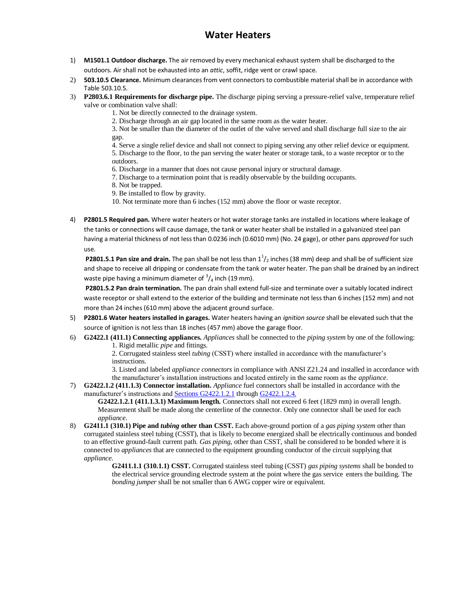## **Water Heaters**

- 1) **M1501.1 Outdoor discharge.** The air removed by every mechanical exhaust system shall be discharged to the outdoors. Air shall not be exhausted into an *attic*, soffit, ridge vent or crawl space.
- 2) **503.10.5 Clearance.** Minimum clearances from vent connectors to combustible material shall be in accordance with Table 503.10.5.
- 3) **P2803.6.1 Requirements for discharge pipe.** The discharge piping serving a pressure-relief valve, temperature relief valve or combination valve shall:
	- 1. Not be directly connected to the drainage system.
	- 2. Discharge through an air gap located in the same room as the water heater.

3. Not be smaller than the diameter of the outlet of the valve served and shall discharge full size to the air gap.

4. Serve a single relief device and shall not connect to piping serving any other relief device or equipment. 5. Discharge to the floor, to the pan serving the water heater or storage tank, to a waste receptor or to the outdoors.

6. Discharge in a manner that does not cause personal injury or structural damage.

7. Discharge to a termination point that is readily observable by the building occupants.

8. Not be trapped.

9. Be installed to flow by gravity.

10. Not terminate more than 6 inches (152 mm) above the floor or waste receptor.

4) **P2801.5 Required pan.** Where water heaters or hot water storage tanks are installed in locations where leakage of the tanks or connections will cause damage, the tank or water heater shall be installed in a galvanized steel pan having a material thickness of not less than 0.0236 inch (0.6010 mm) (No. 24 gage), or other pans *approved* for such use.

**P2801.5.1 Pan size and drain.** The pan shall be not less than  $1^1/2$  inches (38 mm) deep and shall be of sufficient size and shape to receive all dripping or condensate from the tank or water heater. The pan shall be drained by an indirect waste pipe having a minimum diameter of  $\frac{3}{4}$  inch (19 mm).

**P2801.5.2 Pan drain termination.** The pan drain shall extend full-size and terminate over a suitably located indirect waste receptor or shall extend to the exterior of the building and terminate not less than 6 inches (152 mm) and not more than 24 inches (610 mm) above the adjacent ground surface.

- 5) **P2801.6 Water heaters installed in garages.** Water heaters having an *ignition source* shall be elevated such that the source of ignition is not less than 18 inches (457 mm) above the garage floor.
- 6) **G2422.1 (411.1) Connecting appliances.** *Appliances* shall be connected to the *piping system* by one of the following: 1. Rigid metallic *pipe* and fittings.

2. Corrugated stainless steel *tubing* (CSST) where installed in accordance with the manufacturer's instructions.

3. Listed and labeled *appliance connectors* in compliance with ANSI Z21.24 and installed in accordance with the manufacturer's installation instructions and located entirely in the same room as the *appliance*.

7) **G2422.1.2 (411.1.3) Connector installation.** *Appliance* fuel connectors shall be installed in accordance with the manufacturer's instructions and **Sections G2422.1.2.1** throug[h G2422.1.2.4.](javascript:Next()

**G2422.1.2.1 (411.1.3.1) Maximum length.** Connectors shall not exceed 6 feet (1829 mm) in overall length. Measurement shall be made along the centerline of the connector. Only one connector shall be used for each *appliance*.

8) **G2411.1 (310.1) Pipe and** *tubing* **other than CSST.** Each above-ground portion of a *gas piping system* other than corrugated stainless steel tubing (CSST), that is likely to become energized shall be electrically continuous and bonded to an effective ground-fault current path. *Gas piping*, other than CSST, shall be considered to be bonded where it is connected to *appliances* that are connected to the equipment grounding conductor of the circuit supplying that *appliance*.

**G2411.1.1 (310.1.1) CSST.** Corrugated stainless steel tubing (CSST) *gas piping systems* shall be bonded to the electrical service grounding electrode system at the point where the gas service enters the building. The *bonding jumper* shall be not smaller than 6 AWG copper wire or equivalent.